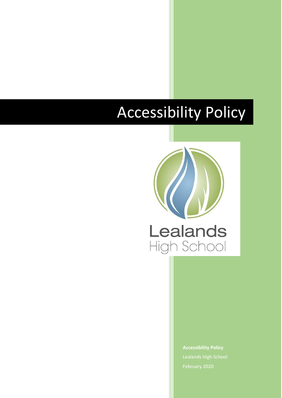# Accessibility Policy



**Accessibility Policy** Lealands High School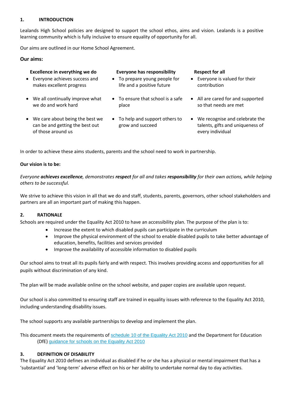#### **1. INTRODUCTION**

Lealands High School policies are designed to support the school ethos, aims and vision. Lealands is a positive learning community which is fully inclusive to ensure equality of opportunity for all.

Our aims are outlined in our Home School Agreement.

## **Our aims:**

# **Excellence in everything we do Everyone has responsibility Respect for all**

- Everyone achieves success and makes excellent progress
- We all continually improve what we do and work hard

 We care about being the best we can be and getting the best out

of those around us

- To prepare young people for life and a positive future
- To ensure that school is a safe place
- To help and support others to grow and succeed
- 
- Everyone is valued for their contribution
- All are cared for and supported so that needs are met
- We recognise and celebrate the talents, gifts and uniqueness of every individual

In order to achieve these aims students, parents and the school need to work in partnership.

## **Our vision is to be:**

*Everyone achieves excellence, demonstrates respect for all and takes responsibility for their own actions, while helping others to be successful.*

We strive to achieve this vision in all that we do and staff, students, parents, governors, other school stakeholders and partners are all an important part of making this happen.

## **2. RATIONALE**

Schools are required under the Equality Act 2010 to have an accessibility plan. The purpose of the plan is to:

- Increase the extent to which disabled pupils can participate in the curriculum
- Improve the physical environment of the school to enable disabled pupils to take better advantage of education, benefits, facilities and services provided
- Improve the availability of accessible information to disabled pupils

Our school aims to treat all its pupils fairly and with respect. This involves providing access and opportunities for all pupils without discrimination of any kind.

The plan will be made available online on the school website, and paper copies are available upon request.

Our school is also committed to ensuring staff are trained in equality issues with reference to the Equality Act 2010, including understanding disability issues.

The school supports any available partnerships to develop and implement the plan.

This document meets the requirements of [schedule 10 of the Equality Act 2010](http://www.legislation.gov.uk/ukpga/2010/15/schedule/10) and the Department for Education (DfE) [guidance for schools on the Equality Act 2010](https://www.gov.uk/government/publications/equality-act-2010-advice-for-schools)

## **3. DEFINITION OF DISABILITY**

The Equality Act 2010 defines an individual as disabled if he or she has a physical or mental impairment that has a 'substantial' and 'long-term' adverse effect on his or her ability to undertake normal day to day activities.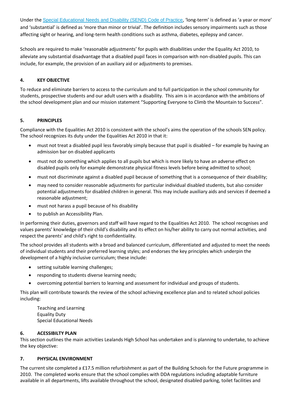Under the [Special Educational Needs and Disability \(SEND\) Code of Practice](https://www.gov.uk/government/publications/send-code-of-practice-0-to-25), 'long-term' is defined as 'a year or more' and 'substantial' is defined as 'more than minor or trivial'. The definition includes sensory impairments such as those affecting sight or hearing, and long-term health conditions such as asthma, diabetes, epilepsy and cancer.

Schools are required to make 'reasonable adjustments' for pupils with disabilities under the Equality Act 2010, to alleviate any substantial disadvantage that a disabled pupil faces in comparison with non-disabled pupils. This can include, for example, the provision of an auxiliary aid or adjustments to premises.

# **4. KEY OBJECTIVE**

To reduce and eliminate barriers to access to the curriculum and to full participation in the school community for students, prospective students and our adult users with a disability. This aim is in accordance with the ambitions of the school development plan and our mission statement "Supporting Everyone to Climb the Mountain to Success".

# **5. PRINCIPLES**

Compliance with the Equalities Act 2010 is consistent with the school's aims the operation of the schools SEN policy. The school recognizes its duty under the Equalities Act 2010 in that it:

- must not treat a disabled pupil less favorably simply because that pupil is disabled for example by having an admission bar on disabled applicants
- must not do something which applies to all pupils but which is more likely to have an adverse effect on disabled pupils only for example demonstrate physical fitness levels before being admitted to school;
- must not discriminate against a disabled pupil because of something that is a consequence of their disability;
- may need to consider reasonable adjustments for particular individual disabled students, but also consider potential adjustments for disabled children in general. This may include auxiliary aids and services if deemed a reasonable adjustment;
- must not harass a pupil because of his disability
- to publish an Accessibility Plan.

In performing their duties, governors and staff will have regard to the Equalities Act 2010. The school recognises and values parents' knowledge of their child's disability and its effect on his/her ability to carry out normal activities, and respect the parents' and child's right to confidentiality.

The school provides all students with a broad and balanced curriculum, differentiated and adjusted to meet the needs of individual students and their preferred learning styles; and endorses the key principles which underpin the development of a highly inclusive curriculum; these include:

- setting suitable learning challenges;
- responding to students diverse learning needs;
- overcoming potential barriers to learning and assessment for individual and groups of students.

This plan will contribute towards the review of the school achieving excellence plan and to related school policies including:

Teaching and Learning Equality Duty Special Educational Needs

## **6. ACESSIBILTY PLAN**

This section outlines the main activities Lealands High School has undertaken and is planning to undertake, to achieve the key objective:

## **7. PHYSICAL ENVIRONMENT**

The current site completed a £17.5 million refurbishment as part of the Building Schools for the Future programme in 2010. The completed works ensure that the school complies with DDA regulations including adaptable furniture available in all departments, lifts available throughout the school, designated disabled parking, toilet facilities and